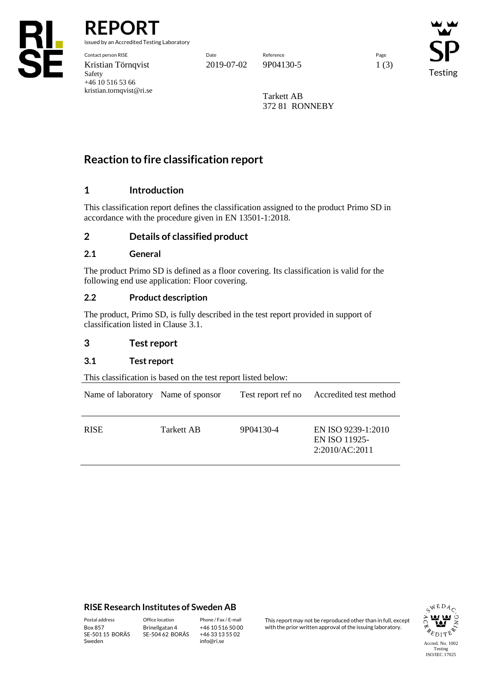

**REPORT**

issued by an Accredited Testing Laboratory

Contact person RISE Date Reference Page Kristian Törnqvist 2019-07-02 9P04130-5 1 (3) Safety +46 10 516 53 66 kristian.tornqvist@ri.se

**Testing** 

Tarkett AB 372 81 RONNEBY

## **Reaction to fire classification report**

## **1 Introduction**

This classification report defines the classification assigned to the product Primo SD in accordance with the procedure given in EN 13501-1:2018.

## **2 Details of classified product**

#### **2.1 General**

The product Primo SD is defined as a floor covering. Its classification is valid for the following end use application: Floor covering.

#### **2.2 Product description**

The product, Primo SD, is fully described in the test report provided in support of classification listed in Clause 3.1.

#### **3 Test report**

### **3.1 Test report**

This classification is based on the test report listed below:

| Name of laboratory Name of sponsor |            | Test report ref no | Accredited test method                                |
|------------------------------------|------------|--------------------|-------------------------------------------------------|
| <b>RISE</b>                        | Tarkett AB | 9P04130-4          | EN ISO 9239-1:2010<br>EN ISO 11925-<br>2:2010/AC:2011 |

#### **RISE Research Institutes of Sweden AB**

SE-501 15 BORÅS Sweden

Brinellgatan 4 SE-504 62 BORÅS

+46 10 516 50 00 +46 33 13 55 02 info@ri.se

Postal address Office location Phone / Fax / E-mail This report may not be reproduced other than in full, except<br>
Phone / Fax / E-mail This report may not be reproduced other issuing laboratory. with the prior written approval of the issuing laboratory.

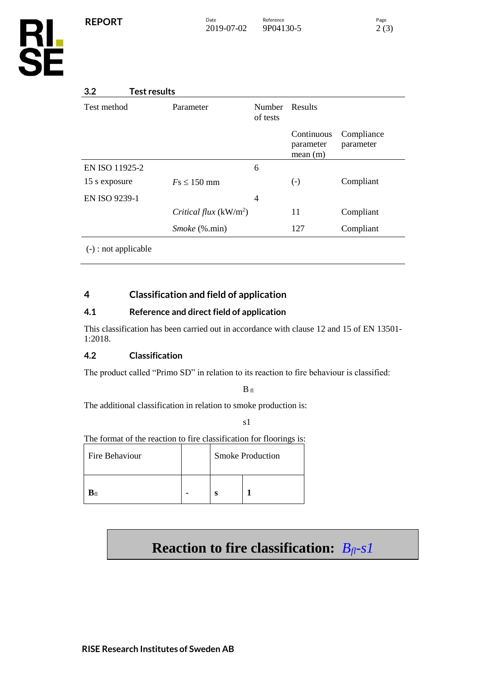| 3.2<br><b>Test results</b>                     |                         |                           |                                    |                         |
|------------------------------------------------|-------------------------|---------------------------|------------------------------------|-------------------------|
| Test method                                    | Parameter               | <b>Number</b><br>of tests | Results                            |                         |
|                                                |                         |                           | Continuous<br>parameter<br>mean(m) | Compliance<br>parameter |
| EN ISO 11925-2                                 |                         | 6                         |                                    |                         |
| 15 s exposure                                  | $Fs \leq 150$ mm        |                           | $\left( -\right)$                  | Compliant               |
| <b>EN ISO 9239-1</b>                           |                         | $\overline{4}$            |                                    |                         |
|                                                | Critical flux $(kW/m2)$ |                           | 11                                 | Compliant               |
|                                                | <i>Smoke</i> (%.min)    |                           | 127                                | Compliant               |
| $\left(\frac{\ }{}_{\right)}$ : not applicable |                         |                           |                                    |                         |

## **4 Classification and field of application**

## **4.1 Reference and direct field of application**

This classification has been carried out in accordance with clause 12 and 15 of EN 13501- 1:2018.

## **4.2 Classification**

The product called "Primo SD" in relation to its reaction to fire behaviour is classified:

 $B$  fl

The additional classification in relation to smoke production is:

s1

The format of the reaction to fire classification for floorings is:

| Fire Behaviour        |  | <b>Smoke Production</b> |  |  |
|-----------------------|--|-------------------------|--|--|
| $\mathbf{B}_{\rm fl}$ |  |                         |  |  |

# **Reaction to fire classification:** *Bfl-s1*